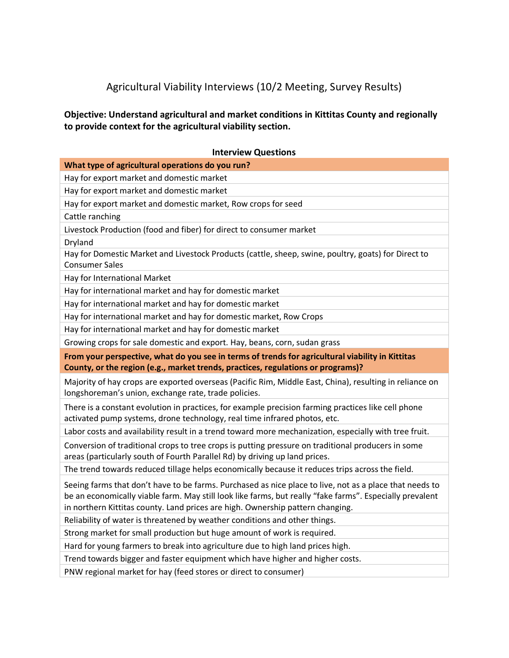## Agricultural Viability Interviews (10/2 Meeting, Survey Results)

**Objective: Understand agricultural and market conditions in Kittitas County and regionally to provide context for the agricultural viability section.**

| <b>Interview Questions</b>                                                                                                                                                                                                                                                                            |
|-------------------------------------------------------------------------------------------------------------------------------------------------------------------------------------------------------------------------------------------------------------------------------------------------------|
| What type of agricultural operations do you run?                                                                                                                                                                                                                                                      |
| Hay for export market and domestic market                                                                                                                                                                                                                                                             |
| Hay for export market and domestic market                                                                                                                                                                                                                                                             |
| Hay for export market and domestic market, Row crops for seed                                                                                                                                                                                                                                         |
| Cattle ranching                                                                                                                                                                                                                                                                                       |
| Livestock Production (food and fiber) for direct to consumer market                                                                                                                                                                                                                                   |
| Dryland                                                                                                                                                                                                                                                                                               |
| Hay for Domestic Market and Livestock Products (cattle, sheep, swine, poultry, goats) for Direct to<br><b>Consumer Sales</b>                                                                                                                                                                          |
| Hay for International Market                                                                                                                                                                                                                                                                          |
| Hay for international market and hay for domestic market                                                                                                                                                                                                                                              |
| Hay for international market and hay for domestic market                                                                                                                                                                                                                                              |
| Hay for international market and hay for domestic market, Row Crops                                                                                                                                                                                                                                   |
| Hay for international market and hay for domestic market                                                                                                                                                                                                                                              |
| Growing crops for sale domestic and export. Hay, beans, corn, sudan grass                                                                                                                                                                                                                             |
| From your perspective, what do you see in terms of trends for agricultural viability in Kittitas                                                                                                                                                                                                      |
| County, or the region (e.g., market trends, practices, regulations or programs)?                                                                                                                                                                                                                      |
| Majority of hay crops are exported overseas (Pacific Rim, Middle East, China), resulting in reliance on<br>longshoreman's union, exchange rate, trade policies.                                                                                                                                       |
| There is a constant evolution in practices, for example precision farming practices like cell phone<br>activated pump systems, drone technology, real time infrared photos, etc.                                                                                                                      |
| Labor costs and availability result in a trend toward more mechanization, especially with tree fruit.                                                                                                                                                                                                 |
| Conversion of traditional crops to tree crops is putting pressure on traditional producers in some<br>areas (particularly south of Fourth Parallel Rd) by driving up land prices.                                                                                                                     |
| The trend towards reduced tillage helps economically because it reduces trips across the field.                                                                                                                                                                                                       |
| Seeing farms that don't have to be farms. Purchased as nice place to live, not as a place that needs to<br>be an economically viable farm. May still look like farms, but really "fake farms". Especially prevalent<br>in northern Kittitas county. Land prices are high. Ownership pattern changing. |
| Reliability of water is threatened by weather conditions and other things.                                                                                                                                                                                                                            |
| Strong market for small production but huge amount of work is required.                                                                                                                                                                                                                               |
| Hard for young farmers to break into agriculture due to high land prices high.                                                                                                                                                                                                                        |
| Trend towards bigger and faster equipment which have higher and higher costs.                                                                                                                                                                                                                         |
| PNW regional market for hay (feed stores or direct to consumer)                                                                                                                                                                                                                                       |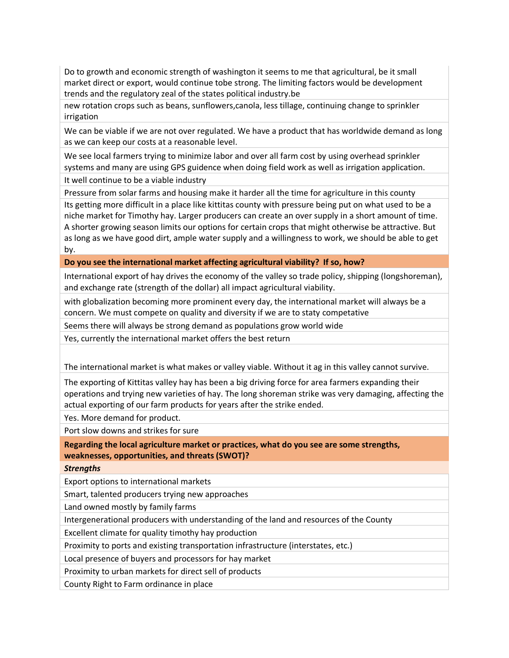Do to growth and economic strength of washington it seems to me that agricultural, be it small market direct or export, would continue tobe strong. The limiting factors would be development trends and the regulatory zeal of the states political industry.be

new rotation crops such as beans, sunflowers,canola, less tillage, continuing change to sprinkler irrigation

We can be viable if we are not over regulated. We have a product that has worldwide demand as long as we can keep our costs at a reasonable level.

We see local farmers trying to minimize labor and over all farm cost by using overhead sprinkler systems and many are using GPS guidence when doing field work as well as irrigation application.

It well continue to be a viable industry

Pressure from solar farms and housing make it harder all the time for agriculture in this county Its getting more difficult in a place like kittitas county with pressure being put on what used to be a niche market for Timothy hay. Larger producers can create an over supply in a short amount of time. A shorter growing season limits our options for certain crops that might otherwise be attractive. But as long as we have good dirt, ample water supply and a willingness to work, we should be able to get by.

**Do you see the international market affecting agricultural viability? If so, how?**

International export of hay drives the economy of the valley so trade policy, shipping (longshoreman), and exchange rate (strength of the dollar) all impact agricultural viability.

with globalization becoming more prominent every day, the international market will always be a concern. We must compete on quality and diversity if we are to staty competative

Seems there will always be strong demand as populations grow world wide

Yes, currently the international market offers the best return

The international market is what makes or valley viable. Without it ag in this valley cannot survive.

The exporting of Kittitas valley hay has been a big driving force for area farmers expanding their operations and trying new varieties of hay. The long shoreman strike was very damaging, affecting the actual exporting of our farm products for years after the strike ended.

Yes. More demand for product.

Port slow downs and strikes for sure

**Regarding the local agriculture market or practices, what do you see are some strengths, weaknesses, opportunities, and threats (SWOT)?**

*Strengths*

Export options to international markets

Smart, talented producers trying new approaches

Land owned mostly by family farms

Intergenerational producers with understanding of the land and resources of the County

Excellent climate for quality timothy hay production

Proximity to ports and existing transportation infrastructure (interstates, etc.)

Local presence of buyers and processors for hay market

Proximity to urban markets for direct sell of products

County Right to Farm ordinance in place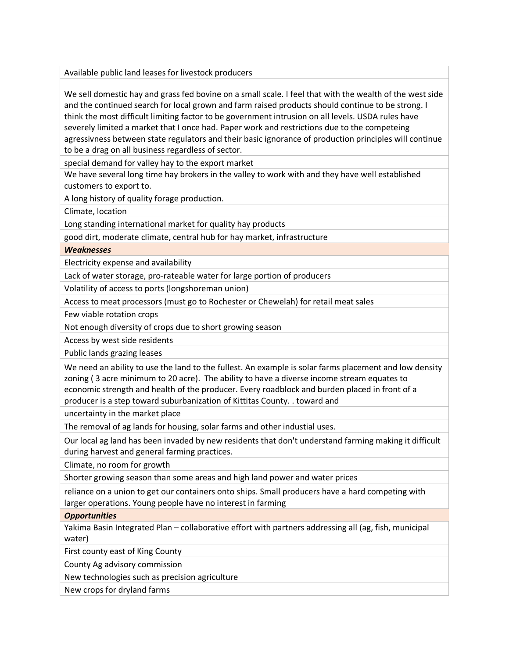Available public land leases for livestock producers

We sell domestic hay and grass fed bovine on a small scale. I feel that with the wealth of the west side and the continued search for local grown and farm raised products should continue to be strong. I think the most difficult limiting factor to be government intrusion on all levels. USDA rules have severely limited a market that I once had. Paper work and restrictions due to the competeing agressivness between state regulators and their basic ignorance of production principles will continue to be a drag on all business regardless of sector.

special demand for valley hay to the export market

We have several long time hay brokers in the valley to work with and they have well established customers to export to.

A long history of quality forage production.

Climate, location

Long standing international market for quality hay products

good dirt, moderate climate, central hub for hay market, infrastructure

## *Weaknesses*

Electricity expense and availability

Lack of water storage, pro-rateable water for large portion of producers

Volatility of access to ports (longshoreman union)

Access to meat processors (must go to Rochester or Chewelah) for retail meat sales

Few viable rotation crops

Not enough diversity of crops due to short growing season

Access by west side residents

Public lands grazing leases

We need an ability to use the land to the fullest. An example is solar farms placement and low density zoning ( 3 acre minimum to 20 acre). The ability to have a diverse income stream equates to economic strength and health of the producer. Every roadblock and burden placed in front of a producer is a step toward suburbanization of Kittitas County. . toward and

uncertainty in the market place

The removal of ag lands for housing, solar farms and other industial uses.

Our local ag land has been invaded by new residents that don't understand farming making it difficult during harvest and general farming practices.

Climate, no room for growth

Shorter growing season than some areas and high land power and water prices

reliance on a union to get our containers onto ships. Small producers have a hard competing with larger operations. Young people have no interest in farming

## *Opportunities*

Yakima Basin Integrated Plan – collaborative effort with partners addressing all (ag, fish, municipal water)

First county east of King County

County Ag advisory commission

New technologies such as precision agriculture

New crops for dryland farms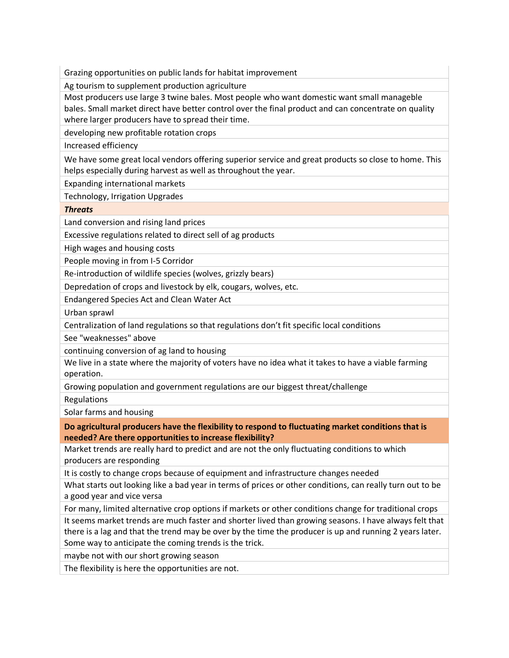Grazing opportunities on public lands for habitat improvement

Ag tourism to supplement production agriculture

Most producers use large 3 twine bales. Most people who want domestic want small manageble bales. Small market direct have better control over the final product and can concentrate on quality where larger producers have to spread their time.

developing new profitable rotation crops

Increased efficiency

We have some great local vendors offering superior service and great products so close to home. This helps especially during harvest as well as throughout the year.

Expanding international markets

Technology, Irrigation Upgrades

*Threats*

Land conversion and rising land prices

Excessive regulations related to direct sell of ag products

High wages and housing costs

People moving in from I-5 Corridor

Re-introduction of wildlife species (wolves, grizzly bears)

Depredation of crops and livestock by elk, cougars, wolves, etc.

Endangered Species Act and Clean Water Act

Urban sprawl

Centralization of land regulations so that regulations don't fit specific local conditions

See "weaknesses" above

continuing conversion of ag land to housing

We live in a state where the majority of voters have no idea what it takes to have a viable farming operation.

Growing population and government regulations are our biggest threat/challenge

Regulations

Solar farms and housing

**Do agricultural producers have the flexibility to respond to fluctuating market conditions that is needed? Are there opportunities to increase flexibility?**

Market trends are really hard to predict and are not the only fluctuating conditions to which producers are responding

It is costly to change crops because of equipment and infrastructure changes needed

What starts out looking like a bad year in terms of prices or other conditions, can really turn out to be a good year and vice versa

For many, limited alternative crop options if markets or other conditions change for traditional crops It seems market trends are much faster and shorter lived than growing seasons. I have always felt that

there is a lag and that the trend may be over by the time the producer is up and running 2 years later. Some way to anticipate the coming trends is the trick.

maybe not with our short growing season

The flexibility is here the opportunities are not.